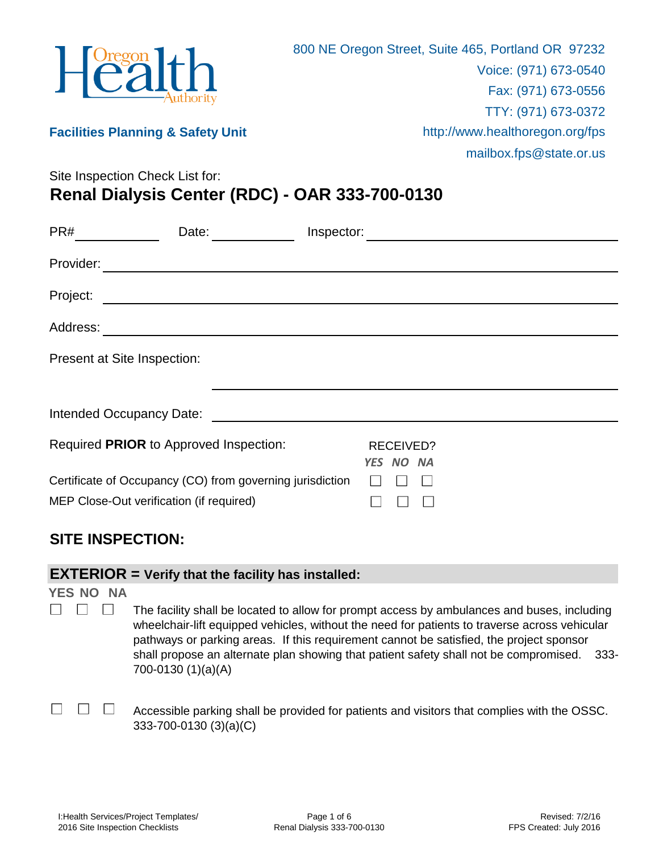

#### **Facilities Planning & Safety Unit**

mailbox.fps@state.or.us

Site Inspection Check List for:

**Renal Dialysis Center (RDC) - OAR 333-700-0130**

| PR#       | Date:                                                     | Inspector:                    |  |
|-----------|-----------------------------------------------------------|-------------------------------|--|
| Provider: |                                                           |                               |  |
| Project:  |                                                           |                               |  |
|           |                                                           |                               |  |
|           | Present at Site Inspection:                               |                               |  |
|           |                                                           |                               |  |
|           |                                                           |                               |  |
|           | Required PRIOR to Approved Inspection:                    | <b>RECEIVED?</b><br>YES NO NA |  |
|           | Certificate of Occupancy (CO) from governing jurisdiction |                               |  |
|           | MEP Close-Out verification (if required)                  |                               |  |

# **SITE INSPECTION:**

#### **EXTERIOR = Verify that the facility has installed:**

**YES NO NA**

- $\begin{array}{ccc}\n\Box & \Box & \Box\n\end{array}$ The facility shall be located to allow for prompt access by ambulances and buses, including wheelchair-lift equipped vehicles, without the need for patients to traverse across vehicular pathways or parking areas. If this requirement cannot be satisfied, the project sponsor shall propose an alternate plan showing that patient safety shall not be compromised. 333- 700-0130 (1)(a)(A)
	- $\overline{\phantom{0}}$  $\Box$ Accessible parking shall be provided for patients and visitors that complies with the OSSC. 333-700-0130 (3)(a)(C)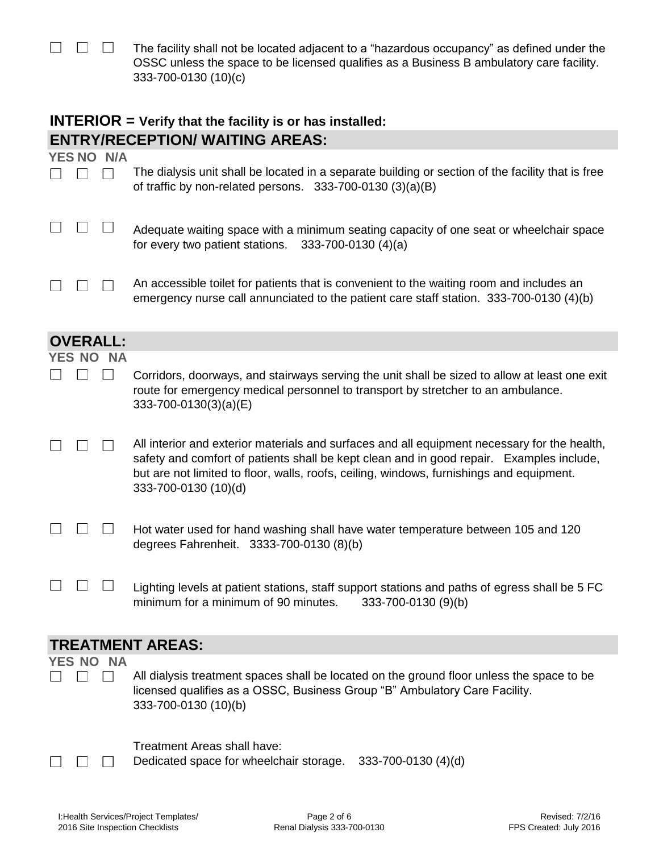| $\begin{array}{ccc} \square & \square & \square \end{array}$ | The facility shall not be located adjacent to a "hazardous occupancy" as defined under the |
|--------------------------------------------------------------|--------------------------------------------------------------------------------------------|
|                                                              | OSSC unless the space to be licensed qualifies as a Business B ambulatory care facility.   |
|                                                              | 333-700-0130 (10)(c)                                                                       |

## **INTERIOR = Verify that the facility is or has installed: ENTRY/RECEPTION/ WAITING AREAS:**

| <b>YES NO N/A</b> |                                                                                                                                                                 |
|-------------------|-----------------------------------------------------------------------------------------------------------------------------------------------------------------|
|                   | The dialysis unit shall be located in a separate building or section of the facility that is free<br>of traffic by non-related persons. $333-700-0130(3)(a)(B)$ |
|                   | Adequate waiting space with a minimum seating capacity of one seat or wheelchair space<br>for every two patient stations. 333-700-0130 (4)(a)                   |
|                   | An accessible toilet for patients that is convenient to the waiting room and includes an                                                                        |

g room and includes an  $\Box$ لسا السا emergency nurse call annunciated to the patient care staff station. 333-700-0130 (4)(b)

|        | <b>OVERALL:</b> |                                                                                                                                                                                                                                                                                                              |
|--------|-----------------|--------------------------------------------------------------------------------------------------------------------------------------------------------------------------------------------------------------------------------------------------------------------------------------------------------------|
| YES NO | <b>NA</b>       |                                                                                                                                                                                                                                                                                                              |
|        |                 | Corridors, doorways, and stairways serving the unit shall be sized to allow at least one exit<br>route for emergency medical personnel to transport by stretcher to an ambulance.<br>333-700-0130(3)(a)(E)                                                                                                   |
|        |                 | All interior and exterior materials and surfaces and all equipment necessary for the health,<br>safety and comfort of patients shall be kept clean and in good repair. Examples include,<br>but are not limited to floor, walls, roofs, ceiling, windows, furnishings and equipment.<br>333-700-0130 (10)(d) |
|        |                 | Hot water used for hand washing shall have water temperature between 105 and 120<br>degrees Fahrenheit. 3333-700-0130 (8)(b)                                                                                                                                                                                 |
|        |                 | Lighting levels at patient stations, staff support stations and paths of egress shall be 5 FC<br>minimum for a minimum of 90 minutes.<br>333-700-0130 (9)(b)                                                                                                                                                 |
|        |                 | <b>TREATMENT AREAS:</b>                                                                                                                                                                                                                                                                                      |
| YES NO | <b>NA</b>       | All dialysis treatment spaces shall be located on the ground floor unless the space to be<br>licensed qualifies as a OSSC, Business Group "B" Ambulatory Care Facility.<br>333-700-0130 (10)(b)                                                                                                              |

Treatment Areas shall have:

 $\square$   $\square$   $\square$ Dedicated space for wheelchair storage. 333-700-0130 (4)(d)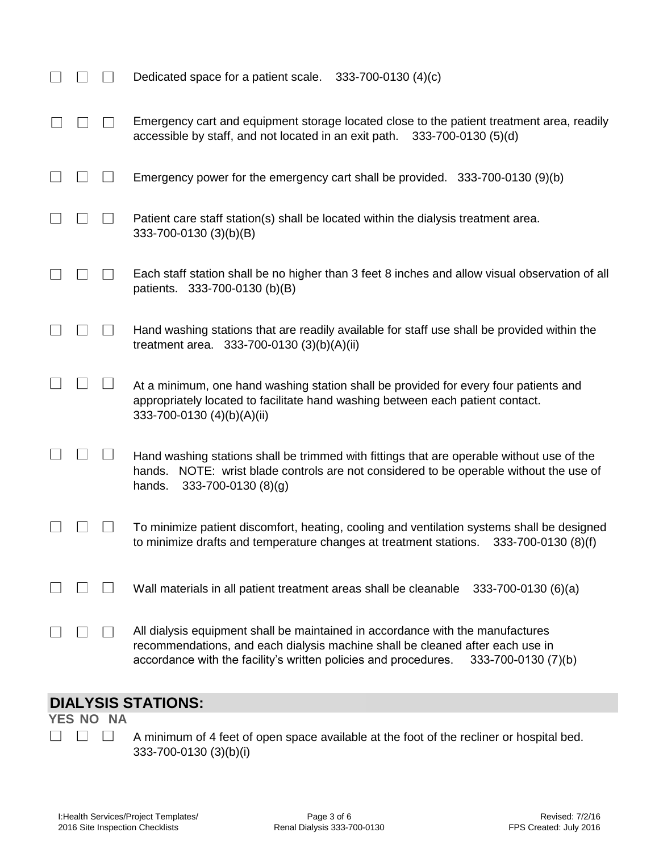|  | Dedicated space for a patient scale.<br>$333 - 700 - 0130$ (4)(c)                                                                                                                                                                                         |
|--|-----------------------------------------------------------------------------------------------------------------------------------------------------------------------------------------------------------------------------------------------------------|
|  | Emergency cart and equipment storage located close to the patient treatment area, readily<br>accessible by staff, and not located in an exit path.<br>333-700-0130 (5)(d)                                                                                 |
|  | Emergency power for the emergency cart shall be provided. 333-700-0130 (9)(b)                                                                                                                                                                             |
|  | Patient care staff station(s) shall be located within the dialysis treatment area.<br>333-700-0130 (3)(b)(B)                                                                                                                                              |
|  | Each staff station shall be no higher than 3 feet 8 inches and allow visual observation of all<br>patients. 333-700-0130 (b)(B)                                                                                                                           |
|  | Hand washing stations that are readily available for staff use shall be provided within the<br>treatment area. $333-700-0130(3)(b)(A)(ii)$                                                                                                                |
|  | At a minimum, one hand washing station shall be provided for every four patients and<br>appropriately located to facilitate hand washing between each patient contact.<br>333-700-0130 (4)(b)(A)(ii)                                                      |
|  | Hand washing stations shall be trimmed with fittings that are operable without use of the<br>NOTE: wrist blade controls are not considered to be operable without the use of<br>hands.<br>333-700-0130 (8)(g)<br>hands.                                   |
|  | To minimize patient discomfort, heating, cooling and ventilation systems shall be designed<br>to minimize drafts and temperature changes at treatment stations.<br>333-700-0130 (8)(f)                                                                    |
|  | Wall materials in all patient treatment areas shall be cleanable<br>$333 - 700 - 0130(6)(a)$                                                                                                                                                              |
|  | All dialysis equipment shall be maintained in accordance with the manufactures<br>recommendations, and each dialysis machine shall be cleaned after each use in<br>accordance with the facility's written policies and procedures.<br>333-700-0130 (7)(b) |

# **DIALYSIS STATIONS:**

**YES NO NA**  $\begin{array}{ccc} \square & \square & \square \end{array}$ 

A minimum of 4 feet of open space available at the foot of the recliner or hospital bed. 333-700-0130 (3)(b)(i)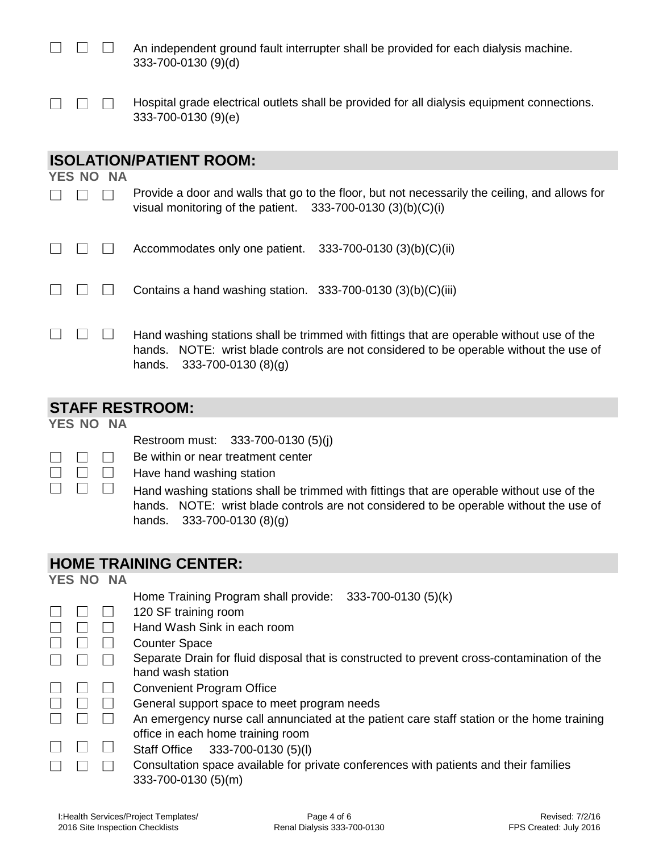$\Box$  $\mathbf{1}$ An independent ground fault interrupter shall be provided for each dialysis machine. 333-700-0130 (9)(d)

| $\Box$ $\Box$ Hospital grade electrical outlets shall be provided for all dialysis equipment connections. |
|-----------------------------------------------------------------------------------------------------------|
| $333 - 700 - 0130(9)(e)$                                                                                  |

## **ISOLATION/PATIENT ROOM:**

**YES NO NA**

 $\Box$ 

| $\Box$ Provide a door and walls that go to the floor, but not necessarily the ceiling, and allows for |  |
|-------------------------------------------------------------------------------------------------------|--|
| visual monitoring of the patient. $333-700-0130(3)(b)(C)(i)$                                          |  |

|  | $\Box$ $\Box$ Accommodates only one patient. 333-700-0130 (3)(b)(C)(ii) |  |
|--|-------------------------------------------------------------------------|--|
|--|-------------------------------------------------------------------------|--|

| $\Box$ $\Box$ Contains a hand washing station. 333-700-0130 (3)(b)(C)(iii) |  |
|----------------------------------------------------------------------------|--|
|----------------------------------------------------------------------------|--|

 $\begin{array}{ccc}\n\Box & \Box & \Box\n\end{array}$ Hand washing stations shall be trimmed with fittings that are operable without use of the hands. NOTE: wrist blade controls are not considered to be operable without the use of hands. 333-700-0130 (8)(g)

### **STAFF RESTROOM:**

#### **YES NO NA**

 $\Box$ 

Restroom must: 333-700-0130 (5)(j)

- Be within or near treatment center  $\Box$  $\Box$
- $\Box$  $\Box$ Have hand washing station  $\Box$ 
	- $\Box$ Hand washing stations shall be trimmed with fittings that are operable without use of the hands. NOTE: wrist blade controls are not considered to be operable without the use of hands. 333-700-0130 (8)(g)

#### **HOME TRAINING CENTER:**

| <b>YES NO NA</b> |                                                                                             |  |
|------------------|---------------------------------------------------------------------------------------------|--|
|                  | Home Training Program shall provide: 333-700-0130 (5)(k)                                    |  |
|                  | 120 SF training room                                                                        |  |
|                  | Hand Wash Sink in each room                                                                 |  |
|                  | <b>Counter Space</b>                                                                        |  |
|                  | Separate Drain for fluid disposal that is constructed to prevent cross-contamination of the |  |
|                  | hand wash station                                                                           |  |
|                  | <b>Convenient Program Office</b>                                                            |  |
|                  | General support space to meet program needs                                                 |  |
|                  | An emergency nurse call annunciated at the patient care staff station or the home training  |  |
|                  | office in each home training room                                                           |  |
|                  | 333-700-0130 (5)(l)<br><b>Staff Office</b>                                                  |  |
|                  | Consultation space available for private conferences with patients and their families       |  |
|                  | 333-700-0130 (5)(m)                                                                         |  |
|                  |                                                                                             |  |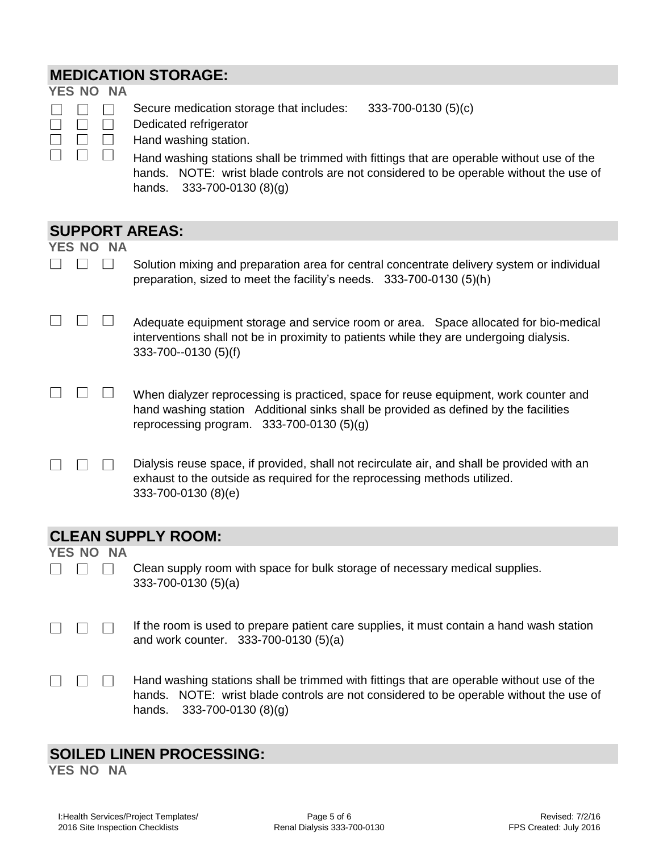# **MEDICATION STORAGE:**

| <b>YES NO NA</b>      |                                                                                                                                                                                                                            |
|-----------------------|----------------------------------------------------------------------------------------------------------------------------------------------------------------------------------------------------------------------------|
| $\Box$                | 333-700-0130 (5)(c)<br>Secure medication storage that includes:<br>Dedicated refrigerator<br>Hand washing station.                                                                                                         |
|                       |                                                                                                                                                                                                                            |
|                       | Hand washing stations shall be trimmed with fittings that are operable without use of the<br>hands. NOTE: wrist blade controls are not considered to be operable without the use of<br>$333 - 700 - 0130(8)(g)$<br>hands.  |
| <b>SUPPORT AREAS:</b> |                                                                                                                                                                                                                            |
| YES NO NA             |                                                                                                                                                                                                                            |
|                       | Solution mixing and preparation area for central concentrate delivery system or individual<br>preparation, sized to meet the facility's needs. 333-700-0130 (5)(h)                                                         |
|                       | Adequate equipment storage and service room or area. Space allocated for bio-medical<br>interventions shall not be in proximity to patients while they are undergoing dialysis.<br>333-700--0130 (5)(f)                    |
|                       | When dialyzer reprocessing is practiced, space for reuse equipment, work counter and<br>hand washing station Additional sinks shall be provided as defined by the facilities<br>reprocessing program. $333-700-0130(5)(g)$ |
|                       | Dialysis reuse space, if provided, shall not recirculate air, and shall be provided with an<br>exhaust to the outside as required for the reprocessing methods utilized.<br>333-700-0130 (8)(e)                            |
|                       | <b>CLEAN SUPPLY ROOM:</b>                                                                                                                                                                                                  |
| YES NO NA             |                                                                                                                                                                                                                            |
|                       | Clean supply room with space for bulk storage of necessary medical supplies.<br>$333 - 700 - 0130(5)(a)$                                                                                                                   |
|                       | If the room is used to prepare patient care supplies, it must contain a hand wash station<br>and work counter. 333-700-0130 (5)(a)                                                                                         |
|                       | Hand washing stations shall be trimmed with fittings that are operable without use of the<br>NOTE: wrist blade controls are not considered to be operable without the use of<br>hands.<br>333-700-0130 (8)(g)<br>hands.    |
|                       |                                                                                                                                                                                                                            |

# **SOILED LINEN PROCESSING:**

**YES NO NA**